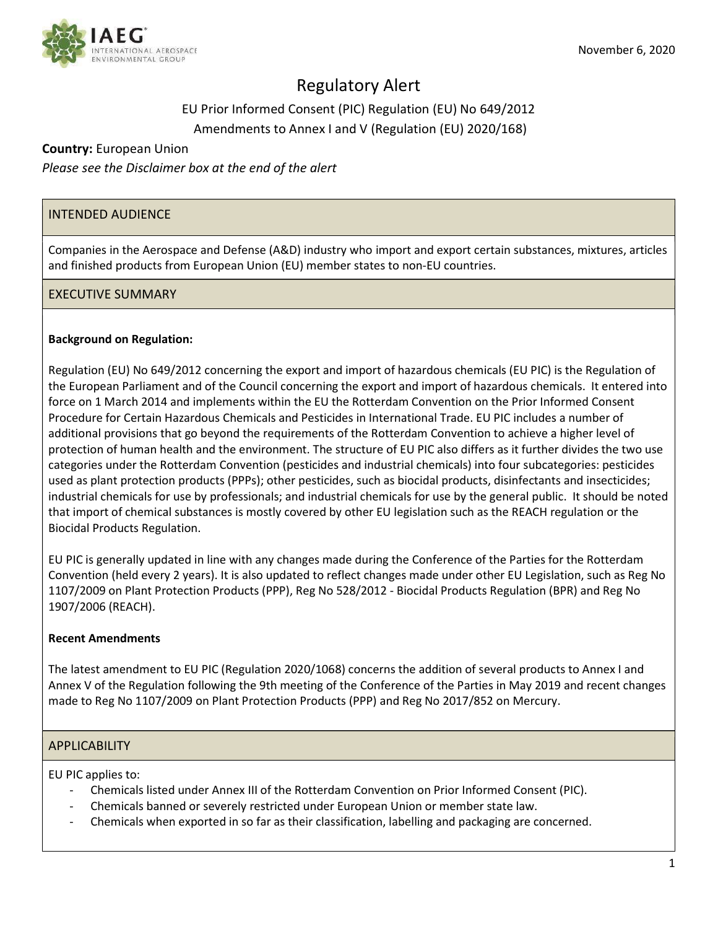

# Regulatory Alert

## EU Prior Informed Consent (PIC) Regulation (EU) No 649/2012 Amendments to Annex I and V (Regulation (EU) 2020/168)

## Country: European Union

Please see the Disclaimer box at the end of the alert

## INTENDED AUDIENCE

Companies in the Aerospace and Defense (A&D) industry who import and export certain substances, mixtures, articles and finished products from European Union (EU) member states to non-EU countries.

## EXECUTIVE SUMMARY

#### Background on Regulation:

Regulation (EU) No 649/2012 concerning the export and import of hazardous chemicals (EU PIC) is the Regulation of the European Parliament and of the Council concerning the export and import of hazardous chemicals. It entered into force on 1 March 2014 and implements within the EU the Rotterdam Convention on the Prior Informed Consent Procedure for Certain Hazardous Chemicals and Pesticides in International Trade. EU PIC includes a number of additional provisions that go beyond the requirements of the Rotterdam Convention to achieve a higher level of protection of human health and the environment. The structure of EU PIC also differs as it further divides the two use categories under the Rotterdam Convention (pesticides and industrial chemicals) into four subcategories: pesticides used as plant protection products (PPPs); other pesticides, such as biocidal products, disinfectants and insecticides; industrial chemicals for use by professionals; and industrial chemicals for use by the general public. It should be noted that import of chemical substances is mostly covered by other EU legislation such as the REACH regulation or the Biocidal Products Regulation.

EU PIC is generally updated in line with any changes made during the Conference of the Parties for the Rotterdam Convention (held every 2 years). It is also updated to reflect changes made under other EU Legislation, such as Reg No 1107/2009 on Plant Protection Products (PPP), Reg No 528/2012 - Biocidal Products Regulation (BPR) and Reg No 1907/2006 (REACH).

#### Recent Amendments

The latest amendment to EU PIC (Regulation 2020/1068) concerns the addition of several products to Annex I and Annex V of the Regulation following the 9th meeting of the Conference of the Parties in May 2019 and recent changes made to Reg No 1107/2009 on Plant Protection Products (PPP) and Reg No 2017/852 on Mercury.

#### **APPLICABILITY**

EU PIC applies to:

- Chemicals listed under Annex III of the Rotterdam Convention on Prior Informed Consent (PIC).
- Chemicals banned or severely restricted under European Union or member state law.
- Chemicals when exported in so far as their classification, labelling and packaging are concerned.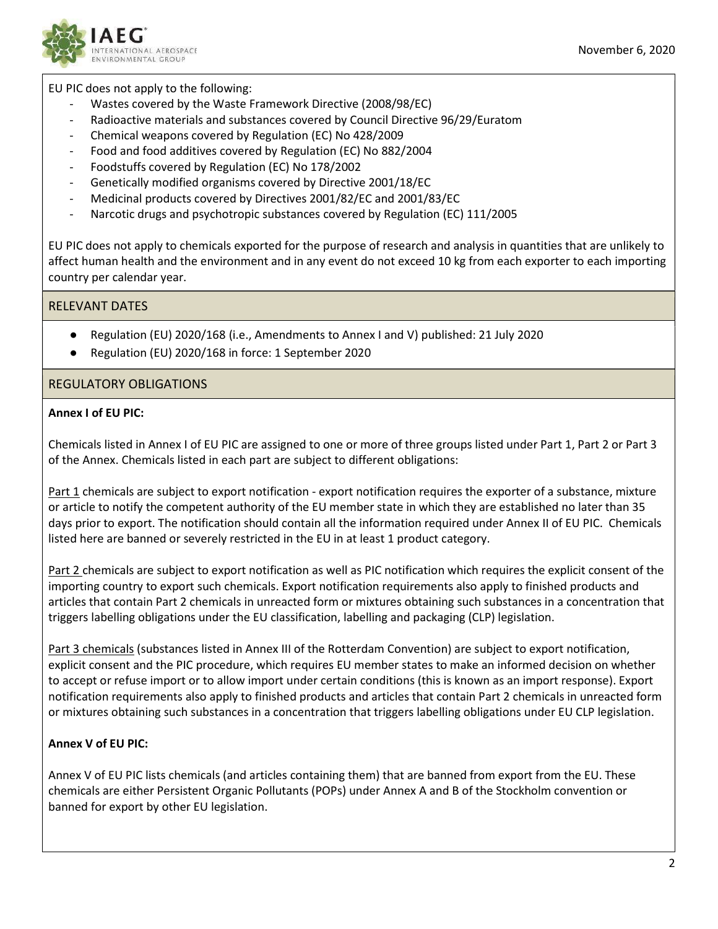

#### EU PIC does not apply to the following:

- Wastes covered by the Waste Framework Directive (2008/98/EC)
- Radioactive materials and substances covered by Council Directive 96/29/Euratom
- Chemical weapons covered by Regulation (EC) No 428/2009
- Food and food additives covered by Regulation (EC) No 882/2004
- Foodstuffs covered by Regulation (EC) No 178/2002
- Genetically modified organisms covered by Directive 2001/18/EC
- Medicinal products covered by Directives 2001/82/EC and 2001/83/EC
- Narcotic drugs and psychotropic substances covered by Regulation (EC) 111/2005

EU PIC does not apply to chemicals exported for the purpose of research and analysis in quantities that are unlikely to affect human health and the environment and in any event do not exceed 10 kg from each exporter to each importing country per calendar year.

## RELEVANT DATES

- Regulation (EU) 2020/168 (i.e., Amendments to Annex I and V) published: 21 July 2020
- Regulation (EU) 2020/168 in force: 1 September 2020

## REGULATORY OBLIGATIONS

## Annex I of EU PIC:

Chemicals listed in Annex I of EU PIC are assigned to one or more of three groups listed under Part 1, Part 2 or Part 3 of the Annex. Chemicals listed in each part are subject to different obligations:

Part 1 chemicals are subject to export notification - export notification requires the exporter of a substance, mixture or article to notify the competent authority of the EU member state in which they are established no later than 35 days prior to export. The notification should contain all the information required under Annex II of EU PIC. Chemicals listed here are banned or severely restricted in the EU in at least 1 product category.

Part 2 chemicals are subject to export notification as well as PIC notification which requires the explicit consent of the importing country to export such chemicals. Export notification requirements also apply to finished products and articles that contain Part 2 chemicals in unreacted form or mixtures obtaining such substances in a concentration that triggers labelling obligations under the EU classification, labelling and packaging (CLP) legislation.

Part 3 chemicals (substances listed in Annex III of the Rotterdam Convention) are subject to export notification, explicit consent and the PIC procedure, which requires EU member states to make an informed decision on whether to accept or refuse import or to allow import under certain conditions (this is known as an import response). Export notification requirements also apply to finished products and articles that contain Part 2 chemicals in unreacted form or mixtures obtaining such substances in a concentration that triggers labelling obligations under EU CLP legislation.

## Annex V of EU PIC:

Annex V of EU PIC lists chemicals (and articles containing them) that are banned from export from the EU. These chemicals are either Persistent Organic Pollutants (POPs) under Annex A and B of the Stockholm convention or banned for export by other EU legislation.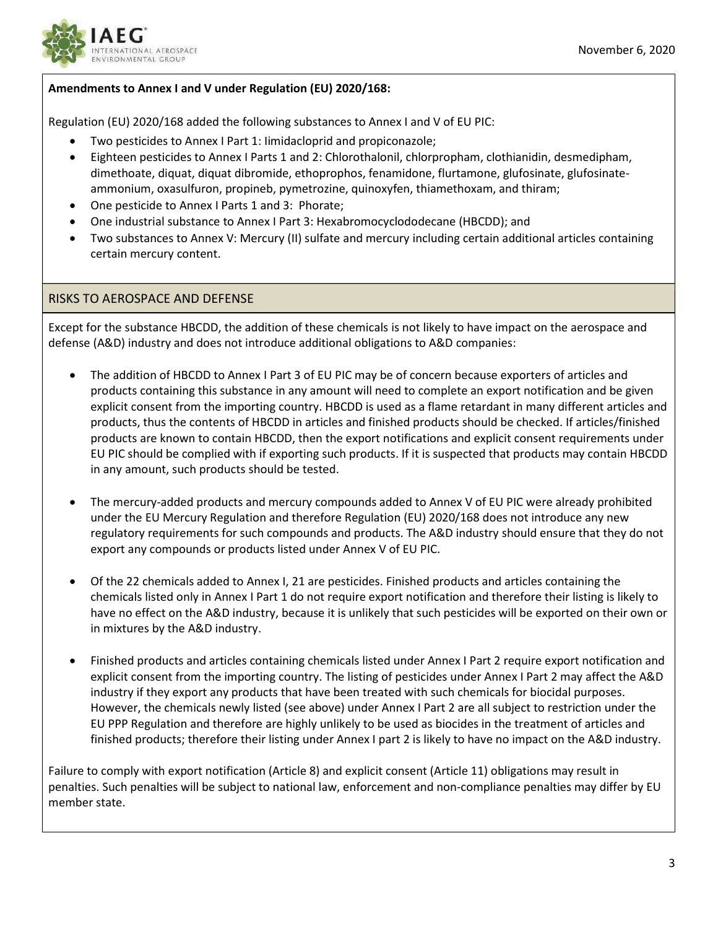

### Amendments to Annex I and V under Regulation (EU) 2020/168:

Regulation (EU) 2020/168 added the following substances to Annex I and V of EU PIC:

- Two pesticides to Annex I Part 1: Iimidacloprid and propiconazole;
- Eighteen pesticides to Annex I Parts 1 and 2: Chlorothalonil, chlorpropham, clothianidin, desmedipham, dimethoate, diquat, diquat dibromide, ethoprophos, fenamidone, flurtamone, glufosinate, glufosinateammonium, oxasulfuron, propineb, pymetrozine, quinoxyfen, thiamethoxam, and thiram;
- One pesticide to Annex I Parts 1 and 3: Phorate;
- One industrial substance to Annex I Part 3: Hexabromocyclododecane (HBCDD); and
- Two substances to Annex V: Mercury (II) sulfate and mercury including certain additional articles containing certain mercury content.

#### RISKS TO AEROSPACE AND DEFENSE

Except for the substance HBCDD, the addition of these chemicals is not likely to have impact on the aerospace and defense (A&D) industry and does not introduce additional obligations to A&D companies:

- The addition of HBCDD to Annex I Part 3 of EU PIC may be of concern because exporters of articles and products containing this substance in any amount will need to complete an export notification and be given explicit consent from the importing country. HBCDD is used as a flame retardant in many different articles and products, thus the contents of HBCDD in articles and finished products should be checked. If articles/finished products are known to contain HBCDD, then the export notifications and explicit consent requirements under EU PIC should be complied with if exporting such products. If it is suspected that products may contain HBCDD in any amount, such products should be tested.
- The mercury-added products and mercury compounds added to Annex V of EU PIC were already prohibited under the EU Mercury Regulation and therefore Regulation (EU) 2020/168 does not introduce any new regulatory requirements for such compounds and products. The A&D industry should ensure that they do not export any compounds or products listed under Annex V of EU PIC.
- Of the 22 chemicals added to Annex I, 21 are pesticides. Finished products and articles containing the chemicals listed only in Annex I Part 1 do not require export notification and therefore their listing is likely to have no effect on the A&D industry, because it is unlikely that such pesticides will be exported on their own or in mixtures by the A&D industry.
- Finished products and articles containing chemicals listed under Annex I Part 2 require export notification and explicit consent from the importing country. The listing of pesticides under Annex I Part 2 may affect the A&D industry if they export any products that have been treated with such chemicals for biocidal purposes. However, the chemicals newly listed (see above) under Annex I Part 2 are all subject to restriction under the EU PPP Regulation and therefore are highly unlikely to be used as biocides in the treatment of articles and finished products; therefore their listing under Annex I part 2 is likely to have no impact on the A&D industry.

Failure to comply with export notification (Article 8) and explicit consent (Article 11) obligations may result in penalties. Such penalties will be subject to national law, enforcement and non-compliance penalties may differ by EU member state.